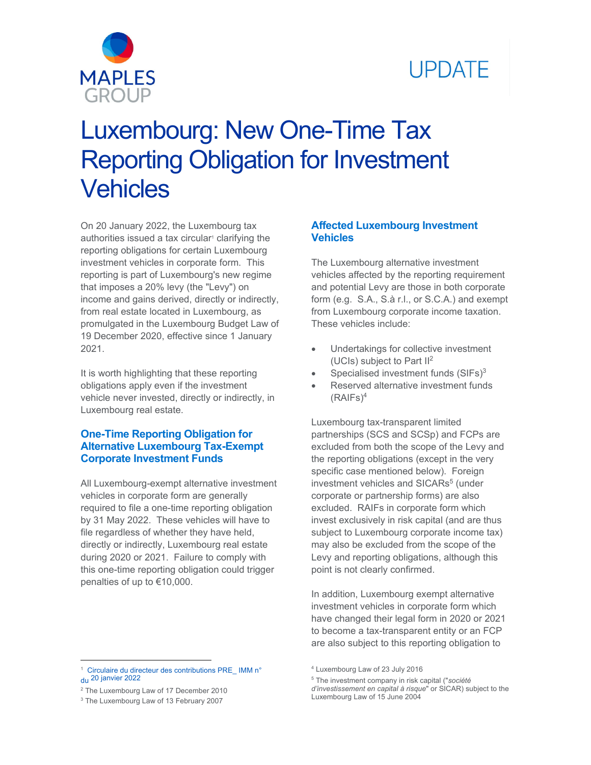

# **UPDATE**

# Luxembourg: New One-Time Tax Reporting Obligation for Investment **Vehicles**

On 20 January 2022, the Luxembourg tax authorities issued a tax circular<sup>1</sup> clarifying the reporting obligations for certain Luxembourg investment vehicles in corporate form. This reporting is part of Luxembourg's new regime that imposes a 20% levy (the "Levy") on income and gains derived, directly or indirectly, from real estate located in Luxembourg, as promulgated in the Luxembourg Budget Law of 19 December 2020, effective since 1 January 2021.

It is worth highlighting that these reporting obligations apply even if the investment vehicle never invested, directly or indirectly, in Luxembourg real estate.

#### **One-Time Reporting Obligation for Alternative Luxembourg Tax-Exempt Corporate Investment Funds**

All Luxembourg-exempt alternative investment vehicles in corporate form are generally required to file a one-time reporting obligation by 31 May 2022. These vehicles will have to file regardless of whether they have held, directly or indirectly, Luxembourg real estate during 2020 or 2021. Failure to comply with this one-time reporting obligation could trigger penalties of up to €10,000.

#### **Affected Luxembourg Investment Vehicles**

The Luxembourg alternative investment vehicles affected by the reporting requirement and potential Levy are those in both corporate form (e.g. S.A., S.à r.l., or S.C.A.) and exempt from Luxembourg corporate income taxation. These vehicles include:

- Undertakings for collective investment (UCIs) subject to Part II2
- $\bullet$  Specialised investment funds (SIFs) $3$
- Reserved alternative investment funds  $(RAIFs)<sup>4</sup>$

Luxembourg tax-transparent limited partnerships (SCS and SCSp) and FCPs are excluded from both the scope of the Levy and the reporting obligations (except in the very specific case mentioned below). Foreign investment vehicles and SICARs<sup>5</sup> (under corporate or partnership forms) are also excluded. RAIFs in corporate form which invest exclusively in risk capital (and are thus subject to Luxembourg corporate income tax) may also be excluded from the scope of the Levy and reporting obligations, although this point is not clearly confirmed.

In addition, Luxembourg exempt alternative investment vehicles in corporate form which have changed their legal form in 2020 or 2021 to become a tax-transparent entity or an FCP are also subject to this reporting obligation to

<sup>1</sup> [Circulaire du directeur des contributions PRE\\_ IMM n°](https://impotsdirects.public.lu/dam-assets/fr/legislation/legi22/2022-01-20-PRE-IMM-1-du-2012022.pdf) du 20 janvier 2022

<sup>&</sup>lt;sup>2</sup> The Luxembourg Law of 17 December 2010

<sup>&</sup>lt;sup>3</sup> The Luxembourg Law of 13 February 2007

<sup>4</sup> Luxembourg Law of 23 July 2016

<sup>5</sup> The investment company in risk capital ("*société d'investissement en capital à risque*" or SICAR) subject to the Luxembourg Law of 15 June 2004